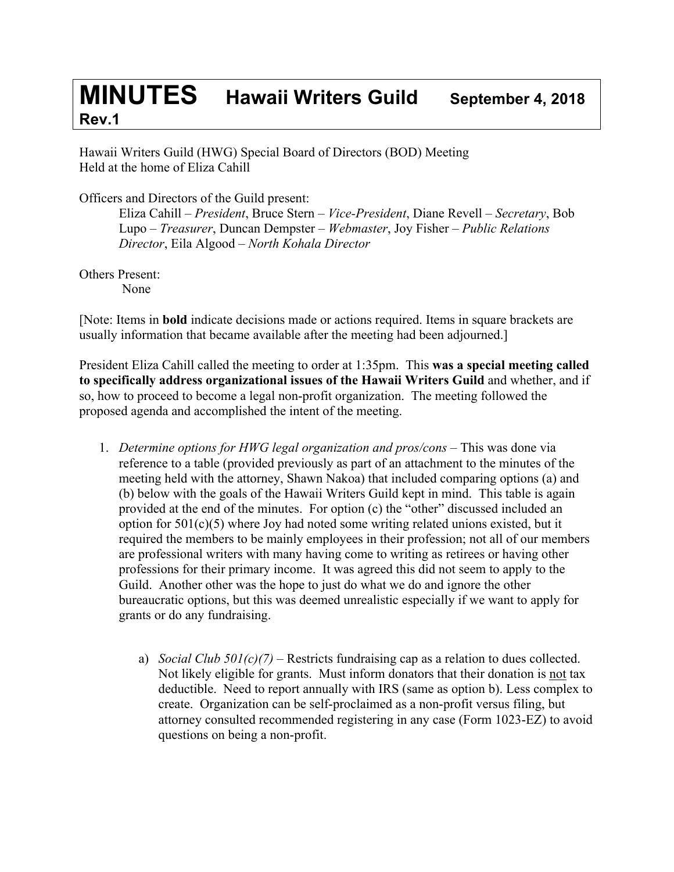## **MINUTES Hawaii Writers Guild September 4, <sup>2018</sup> Rev.1**

Hawaii Writers Guild (HWG) Special Board of Directors (BOD) Meeting Held at the home of Eliza Cahill

Officers and Directors of the Guild present:

Eliza Cahill – *President*, Bruce Stern – *Vice-President*, Diane Revell – *Secretary*, Bob Lupo – *Treasurer*, Duncan Dempster – *Webmaster*, Joy Fisher – *Public Relations Director*, Eila Algood – *North Kohala Director*

Others Present:

None

[Note: Items in **bold** indicate decisions made or actions required. Items in square brackets are usually information that became available after the meeting had been adjourned.]

President Eliza Cahill called the meeting to order at 1:35pm. This **was a special meeting called to specifically address organizational issues of the Hawaii Writers Guild** and whether, and if so, how to proceed to become a legal non-profit organization. The meeting followed the proposed agenda and accomplished the intent of the meeting.

- 1. *Determine options for HWG legal organization and pros/cons* This was done via reference to a table (provided previously as part of an attachment to the minutes of the meeting held with the attorney, Shawn Nakoa) that included comparing options (a) and (b) below with the goals of the Hawaii Writers Guild kept in mind. This table is again provided at the end of the minutes. For option (c) the "other" discussed included an option for 501(c)(5) where Joy had noted some writing related unions existed, but it required the members to be mainly employees in their profession; not all of our members are professional writers with many having come to writing as retirees or having other professions for their primary income. It was agreed this did not seem to apply to the Guild. Another other was the hope to just do what we do and ignore the other bureaucratic options, but this was deemed unrealistic especially if we want to apply for grants or do any fundraising.
	- a) *Social Club 501(c)(7)* Restricts fundraising cap as a relation to dues collected. Not likely eligible for grants. Must inform donators that their donation is not tax deductible. Need to report annually with IRS (same as option b). Less complex to create. Organization can be self-proclaimed as a non-profit versus filing, but attorney consulted recommended registering in any case (Form 1023-EZ) to avoid questions on being a non-profit.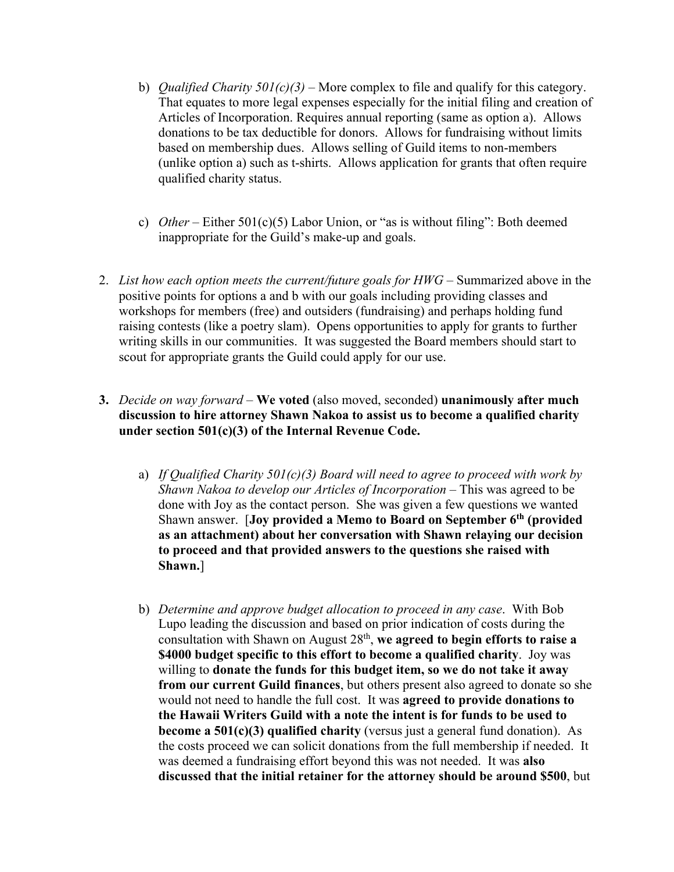- b) *Qualified Charity 501(c)(3)* More complex to file and qualify for this category. That equates to more legal expenses especially for the initial filing and creation of Articles of Incorporation. Requires annual reporting (same as option a). Allows donations to be tax deductible for donors. Allows for fundraising without limits based on membership dues. Allows selling of Guild items to non-members (unlike option a) such as t-shirts. Allows application for grants that often require qualified charity status.
- c) *Other* Either 501(c)(5) Labor Union, or "as is without filing": Both deemed inappropriate for the Guild's make-up and goals.
- 2. *List how each option meets the current/future goals for HWG* Summarized above in the positive points for options a and b with our goals including providing classes and workshops for members (free) and outsiders (fundraising) and perhaps holding fund raising contests (like a poetry slam). Opens opportunities to apply for grants to further writing skills in our communities. It was suggested the Board members should start to scout for appropriate grants the Guild could apply for our use.
- **3.** *Decide on way forward* **We voted** (also moved, seconded) **unanimously after much discussion to hire attorney Shawn Nakoa to assist us to become a qualified charity under section 501(c)(3) of the Internal Revenue Code.**
	- a) *If Qualified Charity 501(c)(3) Board will need to agree to proceed with work by Shawn Nakoa to develop our Articles of Incorporation* – This was agreed to be done with Joy as the contact person. She was given a few questions we wanted Shawn answer. [**Joy provided a Memo to Board on September 6th (provided as an attachment) about her conversation with Shawn relaying our decision to proceed and that provided answers to the questions she raised with Shawn.**]
	- b) *Determine and approve budget allocation to proceed in any case*. With Bob Lupo leading the discussion and based on prior indication of costs during the consultation with Shawn on August 28th, **we agreed to begin efforts to raise a \$4000 budget specific to this effort to become a qualified charity**. Joy was willing to **donate the funds for this budget item, so we do not take it away from our current Guild finances**, but others present also agreed to donate so she would not need to handle the full cost. It was **agreed to provide donations to the Hawaii Writers Guild with a note the intent is for funds to be used to become a 501(c)(3) qualified charity** (versus just a general fund donation). As the costs proceed we can solicit donations from the full membership if needed. It was deemed a fundraising effort beyond this was not needed. It was **also discussed that the initial retainer for the attorney should be around \$500**, but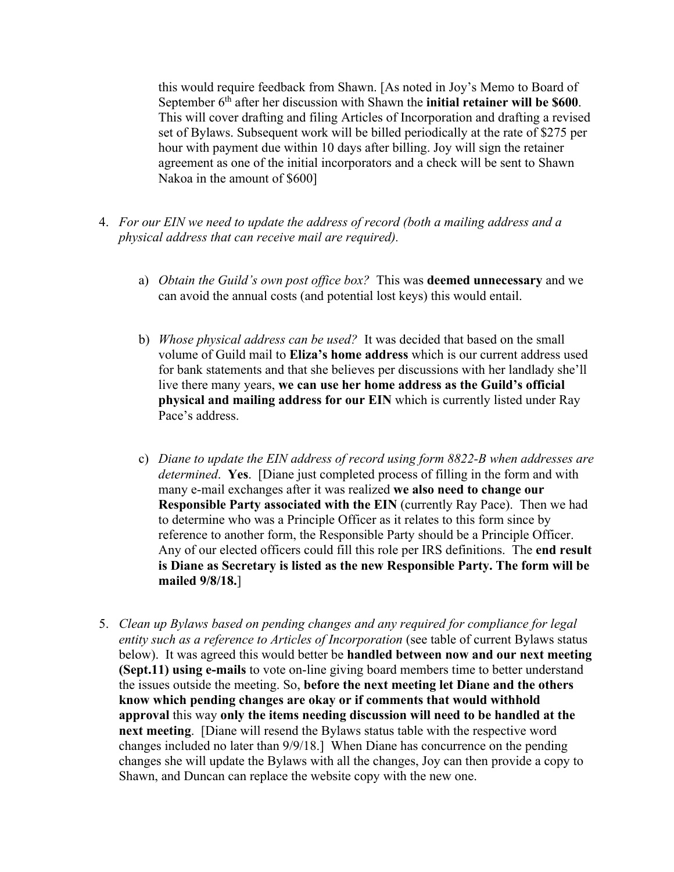this would require feedback from Shawn. [As noted in Joy's Memo to Board of September 6<sup>th</sup> after her discussion with Shawn the **initial retainer will be \$600**. This will cover drafting and filing Articles of Incorporation and drafting a revised set of Bylaws. Subsequent work will be billed periodically at the rate of \$275 per hour with payment due within 10 days after billing. Joy will sign the retainer agreement as one of the initial incorporators and a check will be sent to Shawn Nakoa in the amount of \$600]

- 4. *For our EIN we need to update the address of record (both a mailing address and a physical address that can receive mail are required).*
	- a) *Obtain the Guild's own post office box?* This was **deemed unnecessary** and we can avoid the annual costs (and potential lost keys) this would entail.
	- b) *Whose physical address can be used?* It was decided that based on the small volume of Guild mail to **Eliza's home address** which is our current address used for bank statements and that she believes per discussions with her landlady she'll live there many years, **we can use her home address as the Guild's official physical and mailing address for our EIN** which is currently listed under Ray Pace's address.
	- c) *Diane to update the EIN address of record using form 8822-B when addresses are determined*. **Yes**. [Diane just completed process of filling in the form and with many e-mail exchanges after it was realized **we also need to change our Responsible Party associated with the EIN** (currently Ray Pace). Then we had to determine who was a Principle Officer as it relates to this form since by reference to another form, the Responsible Party should be a Principle Officer. Any of our elected officers could fill this role per IRS definitions. The **end result is Diane as Secretary is listed as the new Responsible Party. The form will be mailed 9/8/18.**]
- 5. *Clean up Bylaws based on pending changes and any required for compliance for legal entity such as a reference to Articles of Incorporation* (see table of current Bylaws status below). It was agreed this would better be **handled between now and our next meeting (Sept.11) using e-mails** to vote on-line giving board members time to better understand the issues outside the meeting. So, **before the next meeting let Diane and the others know which pending changes are okay or if comments that would withhold approval** this way **only the items needing discussion will need to be handled at the next meeting**. [Diane will resend the Bylaws status table with the respective word changes included no later than 9/9/18.] When Diane has concurrence on the pending changes she will update the Bylaws with all the changes, Joy can then provide a copy to Shawn, and Duncan can replace the website copy with the new one.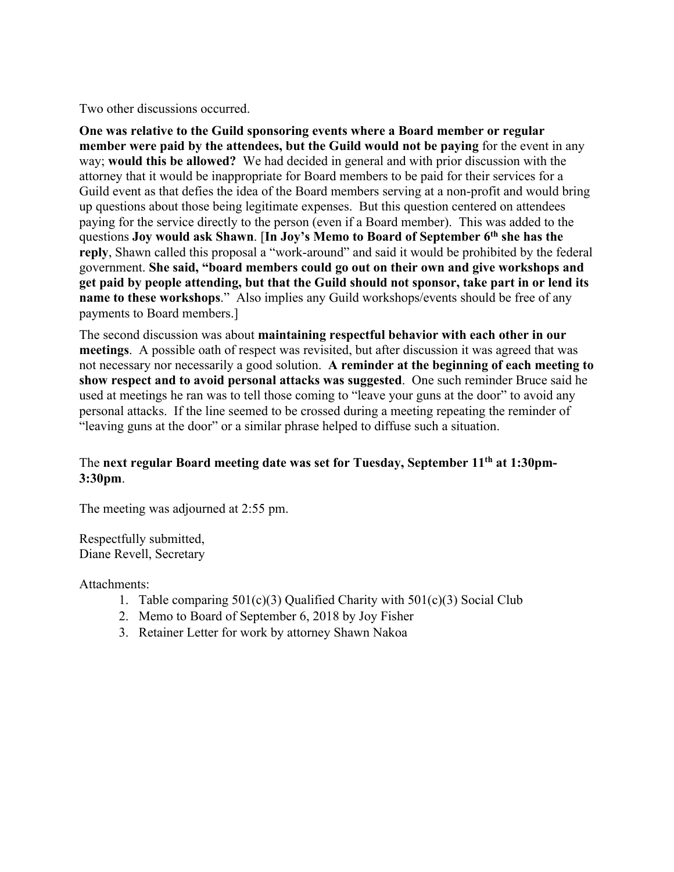Two other discussions occurred.

**One was relative to the Guild sponsoring events where a Board member or regular member were paid by the attendees, but the Guild would not be paying** for the event in any way; **would this be allowed?** We had decided in general and with prior discussion with the attorney that it would be inappropriate for Board members to be paid for their services for a Guild event as that defies the idea of the Board members serving at a non-profit and would bring up questions about those being legitimate expenses. But this question centered on attendees paying for the service directly to the person (even if a Board member). This was added to the questions **Joy would ask Shawn**. [**In Joy's Memo to Board of September 6th she has the reply**, Shawn called this proposal a "work-around" and said it would be prohibited by the federal government. **She said, "board members could go out on their own and give workshops and get paid by people attending, but that the Guild should not sponsor, take part in or lend its name to these workshops."** Also implies any Guild workshops/events should be free of any payments to Board members.]

The second discussion was about **maintaining respectful behavior with each other in our meetings**. A possible oath of respect was revisited, but after discussion it was agreed that was not necessary nor necessarily a good solution. **A reminder at the beginning of each meeting to show respect and to avoid personal attacks was suggested**. One such reminder Bruce said he used at meetings he ran was to tell those coming to "leave your guns at the door" to avoid any personal attacks. If the line seemed to be crossed during a meeting repeating the reminder of "leaving guns at the door" or a similar phrase helped to diffuse such a situation.

### The **next regular Board meeting date was set for Tuesday, September 11th at 1:30pm-3:30pm**.

The meeting was adjourned at 2:55 pm.

Respectfully submitted, Diane Revell, Secretary

Attachments:

- 1. Table comparing  $501(c)(3)$  Qualified Charity with  $501(c)(3)$  Social Club
- 2. Memo to Board of September 6, 2018 by Joy Fisher
- 3. Retainer Letter for work by attorney Shawn Nakoa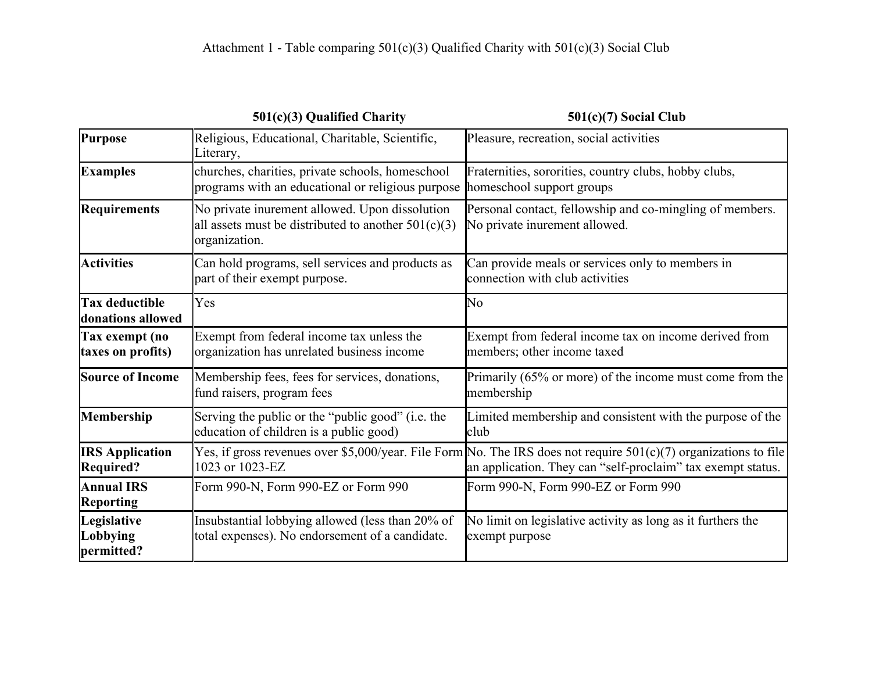|                                            | 501(c)(3) Qualified Charity                                                                                              | $501(c)(7)$ Social Club                                                                                                                                                           |
|--------------------------------------------|--------------------------------------------------------------------------------------------------------------------------|-----------------------------------------------------------------------------------------------------------------------------------------------------------------------------------|
| <b>Purpose</b>                             | Religious, Educational, Charitable, Scientific,<br>Literary,                                                             | Pleasure, recreation, social activities                                                                                                                                           |
| <b>Examples</b>                            | churches, charities, private schools, homeschool<br>programs with an educational or religious purpose                    | Fraternities, sororities, country clubs, hobby clubs,<br>homeschool support groups                                                                                                |
| <b>Requirements</b>                        | No private inurement allowed. Upon dissolution<br>all assets must be distributed to another $501(c)(3)$<br>organization. | Personal contact, fellowship and co-mingling of members.<br>No private inurement allowed.                                                                                         |
| <b>Activities</b>                          | Can hold programs, sell services and products as<br>part of their exempt purpose.                                        | Can provide meals or services only to members in<br>connection with club activities                                                                                               |
| <b>Tax deductible</b><br>donations allowed | Yes                                                                                                                      | No                                                                                                                                                                                |
| Tax exempt (no<br>taxes on profits)        | Exempt from federal income tax unless the<br>organization has unrelated business income                                  | Exempt from federal income tax on income derived from<br>members; other income taxed                                                                                              |
| <b>Source of Income</b>                    | Membership fees, fees for services, donations,<br>fund raisers, program fees                                             | Primarily (65% or more) of the income must come from the<br>membership                                                                                                            |
| Membership                                 | Serving the public or the "public good" (i.e. the<br>education of children is a public good)                             | Limited membership and consistent with the purpose of the<br>club                                                                                                                 |
| <b>IRS Application</b><br><b>Required?</b> | 1023 or 1023-EZ                                                                                                          | Yes, if gross revenues over \$5,000/year. File Form No. The IRS does not require $501(c)(7)$ organizations to file<br>an application. They can "self-proclaim" tax exempt status. |
| <b>Annual IRS</b><br><b>Reporting</b>      | Form 990-N, Form 990-EZ or Form 990                                                                                      | Form 990-N, Form 990-EZ or Form 990                                                                                                                                               |
| Legislative<br>Lobbying<br>permitted?      | Insubstantial lobbying allowed (less than 20% of<br>total expenses). No endorsement of a candidate.                      | No limit on legislative activity as long as it furthers the<br>exempt purpose                                                                                                     |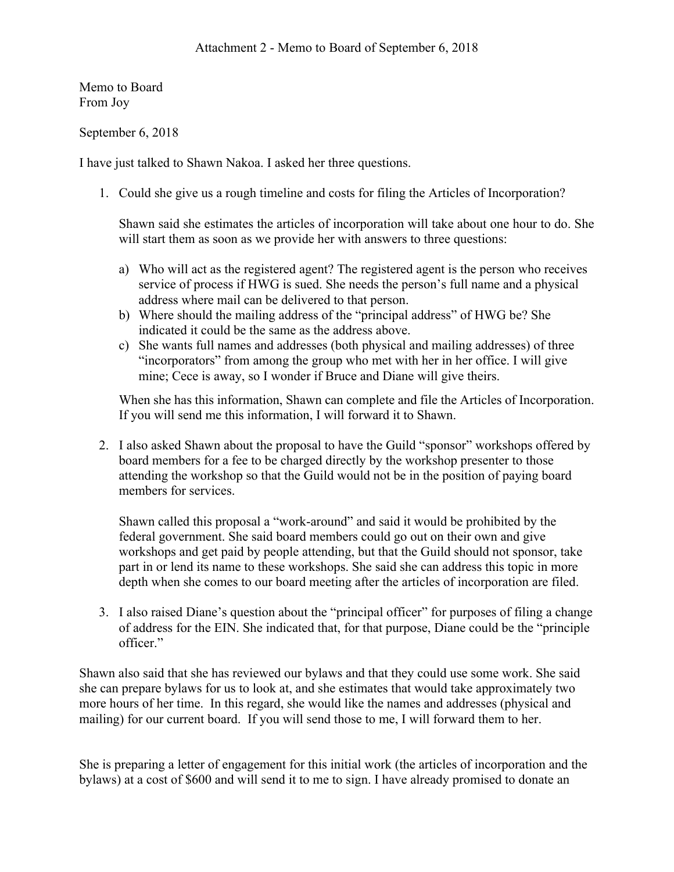Memo to Board From Joy

September 6, 2018

I have just talked to Shawn Nakoa. I asked her three questions.

1. Could she give us a rough timeline and costs for filing the Articles of Incorporation?

Shawn said she estimates the articles of incorporation will take about one hour to do. She will start them as soon as we provide her with answers to three questions:

- a) Who will act as the registered agent? The registered agent is the person who receives service of process if HWG is sued. She needs the person's full name and a physical address where mail can be delivered to that person.
- b) Where should the mailing address of the "principal address" of HWG be? She indicated it could be the same as the address above.
- c) She wants full names and addresses (both physical and mailing addresses) of three "incorporators" from among the group who met with her in her office. I will give mine; Cece is away, so I wonder if Bruce and Diane will give theirs.

When she has this information, Shawn can complete and file the Articles of Incorporation. If you will send me this information, I will forward it to Shawn.

2. I also asked Shawn about the proposal to have the Guild "sponsor" workshops offered by board members for a fee to be charged directly by the workshop presenter to those attending the workshop so that the Guild would not be in the position of paying board members for services.

Shawn called this proposal a "work-around" and said it would be prohibited by the federal government. She said board members could go out on their own and give workshops and get paid by people attending, but that the Guild should not sponsor, take part in or lend its name to these workshops. She said she can address this topic in more depth when she comes to our board meeting after the articles of incorporation are filed.

3. I also raised Diane's question about the "principal officer" for purposes of filing a change of address for the EIN. She indicated that, for that purpose, Diane could be the "principle officer."

Shawn also said that she has reviewed our bylaws and that they could use some work. She said she can prepare bylaws for us to look at, and she estimates that would take approximately two more hours of her time. In this regard, she would like the names and addresses (physical and mailing) for our current board. If you will send those to me, I will forward them to her.

She is preparing a letter of engagement for this initial work (the articles of incorporation and the bylaws) at a cost of \$600 and will send it to me to sign. I have already promised to donate an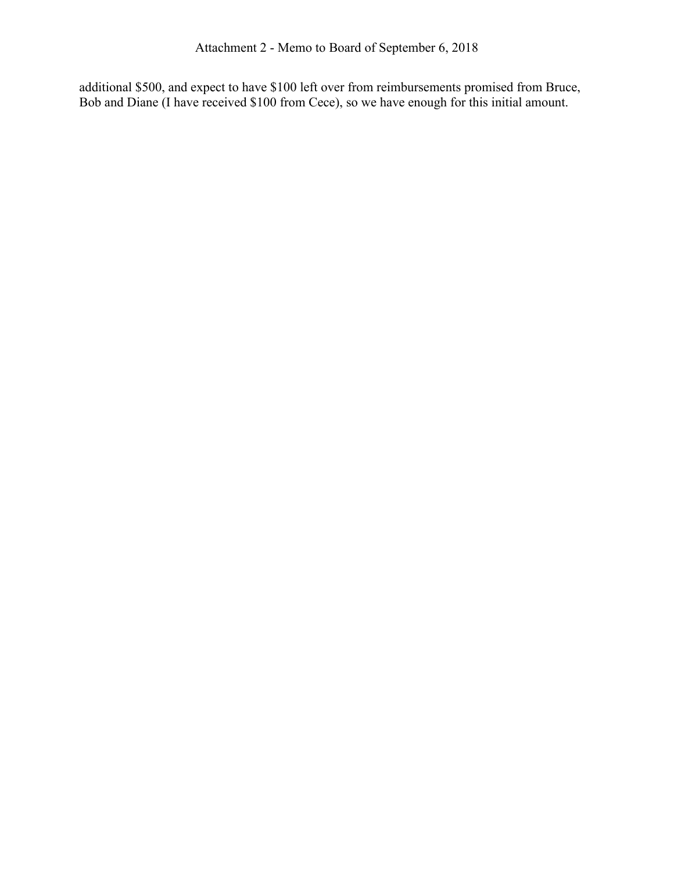additional \$500, and expect to have \$100 left over from reimbursements promised from Bruce, Bob and Diane (I have received \$100 from Cece), so we have enough for this initial amount.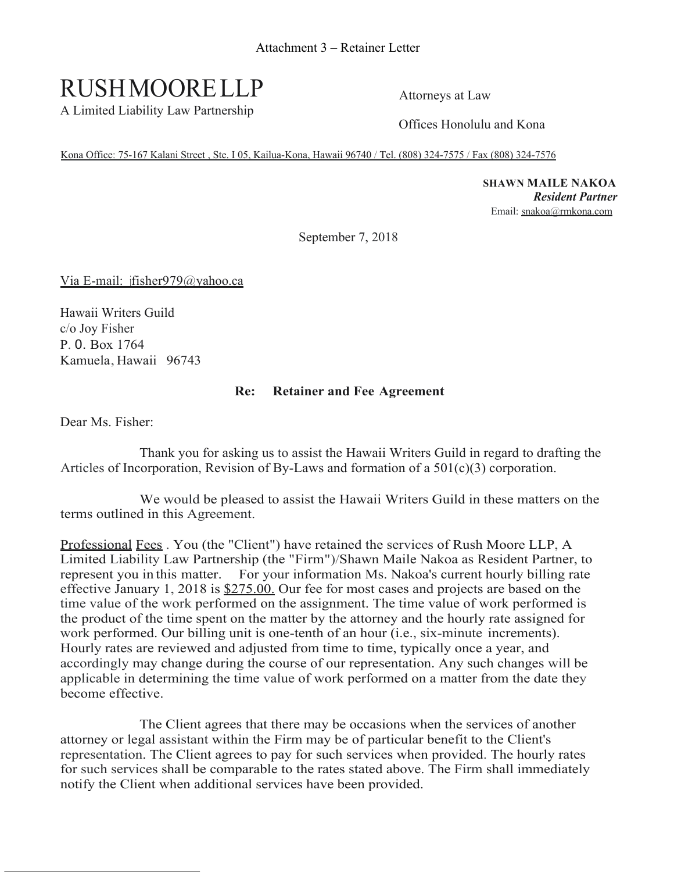# RUSHMOORELLP

A Limited Liability Law Partnership

Attorneys at Law

Offices Honolulu and Kona

Kona Office: 75-167 Kalani Street , Ste. I 05, Kailua-Kona, Hawaii 96740 / Tel. (808) 324-7575 / Fax (808) 324-7576

**SHAWN MAILE NAKOA** *Resident Partner* Email: snakoa@rmkona.com

September 7, 2018

Via E-mail: jfisher979@yahoo.ca

Hawaii Writers Guild c/o Joy Fisher P. 0. Box 1764 Kamuela, Hawaii 96743

### **Re: Retainer and Fee Agreement**

Dear Ms. Fisher:

Thank you for asking us to assist the Hawaii Writers Guild in regard to drafting the Articles of Incorporation, Revision of By-Laws and formation of a  $501(c)(3)$  corporation.

We would be pleased to assist the Hawaii Writers Guild in these matters on the terms outlined in this Agreement.

Professional Fees . You (the "Client") have retained the services of Rush Moore LLP, A Limited Liability Law Partnership (the "Firm")/Shawn Maile Nakoa as Resident Partner, to represent you in this matter. For your information Ms. Nakoa's current hourly billing rate effective January 1, 2018 is \$275.00. Our fee for most cases and projects are based on the time value of the work performed on the assignment. The time value of work performed is the product of the time spent on the matter by the attorney and the hourly rate assigned for work performed. Our billing unit is one-tenth of an hour (i.e., six-minute increments). Hourly rates are reviewed and adjusted from time to time, typically once a year, and accordingly may change during the course of our representation. Any such changes will be applicable in determining the time value of work performed on a matter from the date they become effective.

The Client agrees that there may be occasions when the services of another attorney or legal assistant within the Firm may be of particular benefit to the Client's representation. The Client agrees to pay for such services when provided. The hourly rates for such services shall be comparable to the rates stated above. The Firm shall immediately notify the Client when additional services have been provided.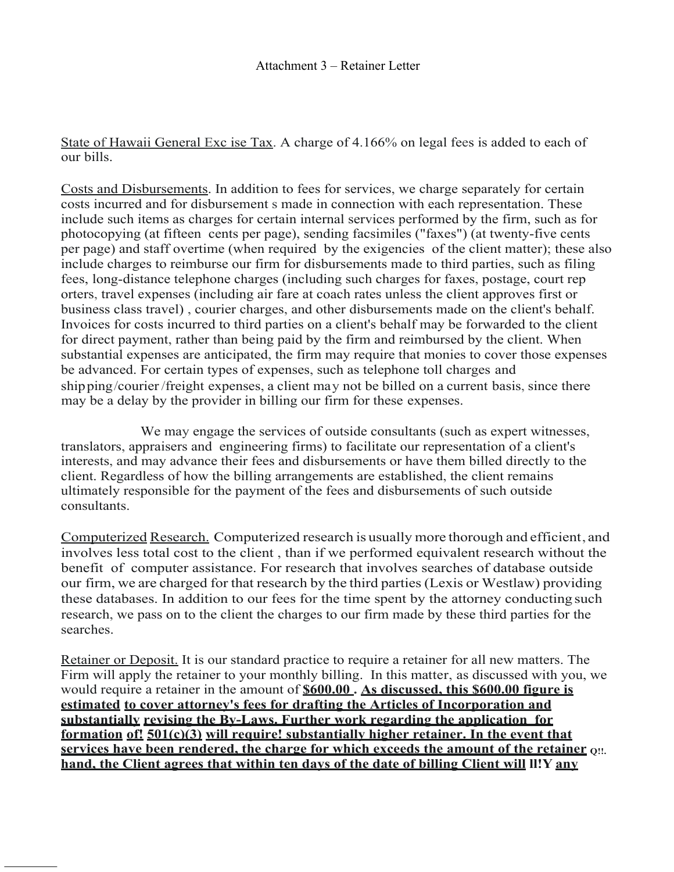State of Hawaii General Exc ise Tax. A charge of 4.166% on legal fees is added to each of our bills.

Costs and Disbursements. In addition to fees for services, we charge separately for certain costs incurred and for disbursement s made in connection with each representation. These include such items as charges for certain internal services performed by the firm, such as for photocopying (at fifteen cents per page), sending facsimiles ("faxes") (at twenty-five cents per page) and staff overtime (when required by the exigencies of the client matter); these also include charges to reimburse our firm for disbursements made to third parties, such as filing fees, long-distance telephone charges (including such charges for faxes, postage, court rep orters, travel expenses (including air fare at coach rates unless the client approves first or business class travel) , courier charges, and other disbursements made on the client's behalf. Invoices for costs incurred to third parties on a client's behalf may be forwarded to the client for direct payment, rather than being paid by the firm and reimbursed by the client. When substantial expenses are anticipated, the firm may require that monies to cover those expenses be advanced. For certain types of expenses, such as telephone toll charges and shipping/courier/freight expenses, a client may not be billed on a current basis, since there may be a delay by the provider in billing our firm for these expenses.

We may engage the services of outside consultants (such as expert witnesses, translators, appraisers and engineering firms) to facilitate our representation of a client's interests, and may advance their fees and disbursements or have them billed directly to the client. Regardless of how the billing arrangements are established, the client remains ultimately responsible for the payment of the fees and disbursements of such outside consultants.

Computerized Research. Computerized research is usually more thorough and efficient, and involves less total cost to the client , than if we performed equivalent research without the benefit of computer assistance. For research that involves searches of database outside our firm, we are charged for that research by the third parties(Lexis or Westlaw) providing these databases. In addition to our fees for the time spent by the attorney conducting such research, we pass on to the client the charges to our firm made by these third parties for the searches.

Retainer or Deposit. It is our standard practice to require a retainer for all new matters. The Firm will apply the retainer to your monthly billing. In this matter, as discussed with you, we would require a retainer in the amount of **\$600.00 . As discussed, this \$600.00 figure is estimated to cover attorney's fees for drafting the Articles of Incorporation and substantially revising the By-Laws. Further work regarding the application for formation of! 501(c)(3) will require! substantially higher retainer. In the event that services have been rendered, the charge for which exceeds the amount of the retainer Q!!. hand, the Client agrees that within ten days of the date of billing Client will ll!Y any**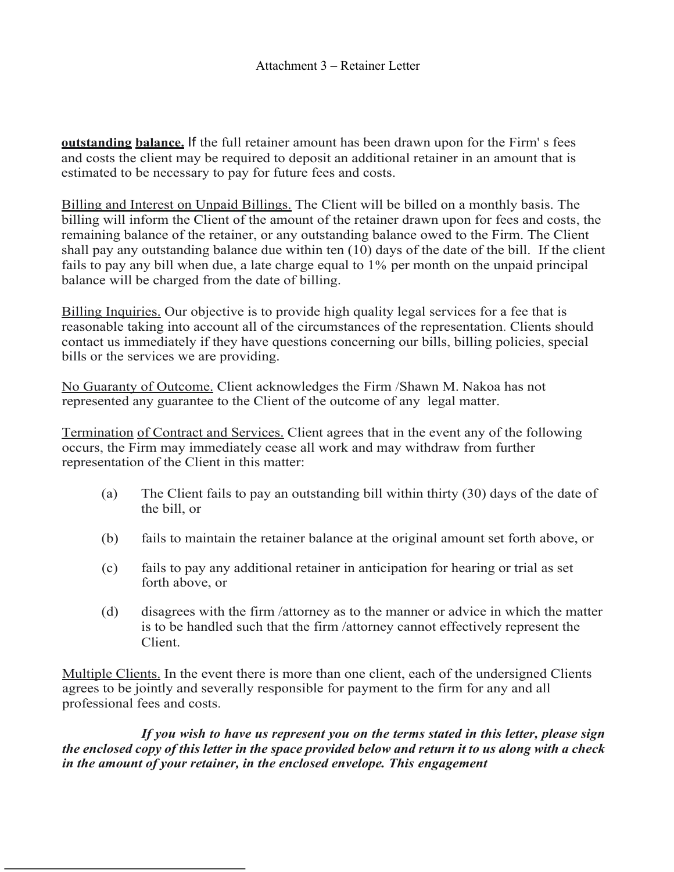**outstanding balance.** If the full retainer amount has been drawn upon for the Firm' s fees and costs the client may be required to deposit an additional retainer in an amount that is estimated to be necessary to pay for future fees and costs.

Billing and Interest on Unpaid Billings. The Client will be billed on a monthly basis. The billing will inform the Client of the amount of the retainer drawn upon for fees and costs, the remaining balance of the retainer, or any outstanding balance owed to the Firm. The Client shall pay any outstanding balance due within ten (10) days of the date of the bill. If the client fails to pay any bill when due, a late charge equal to 1% per month on the unpaid principal balance will be charged from the date of billing.

Billing Inquiries. Our objective is to provide high quality legal services for a fee that is reasonable taking into account all of the circumstances of the representation. Clients should contact us immediately if they have questions concerning our bills, billing policies, special bills or the services we are providing.

No Guaranty of Outcome. Client acknowledges the Firm /Shawn M. Nakoa has not represented any guarantee to the Client of the outcome of any legal matter.

Termination of Contract and Services. Client agrees that in the event any of the following occurs, the Firm may immediately cease all work and may withdraw from further representation of the Client in this matter:

- (a) The Client fails to pay an outstanding bill within thirty (30) days of the date of the bill, or
- (b) fails to maintain the retainer balance at the original amount set forth above, or
- (c) fails to pay any additional retainer in anticipation for hearing or trial as set forth above, or
- (d) disagrees with the firm /attorney as to the manner or advice in which the matter is to be handled such that the firm /attorney cannot effectively represent the Client.

Multiple Clients. In the event there is more than one client, each of the undersigned Clients agrees to be jointly and severally responsible for payment to the firm for any and all professional fees and costs.

*If you wish to have us represent you on the terms stated in this letter, please sign the enclosed copy of this letter in the space provided below and return it to us along with a check in the amount of your retainer, in the enclosed envelope. This engagement*